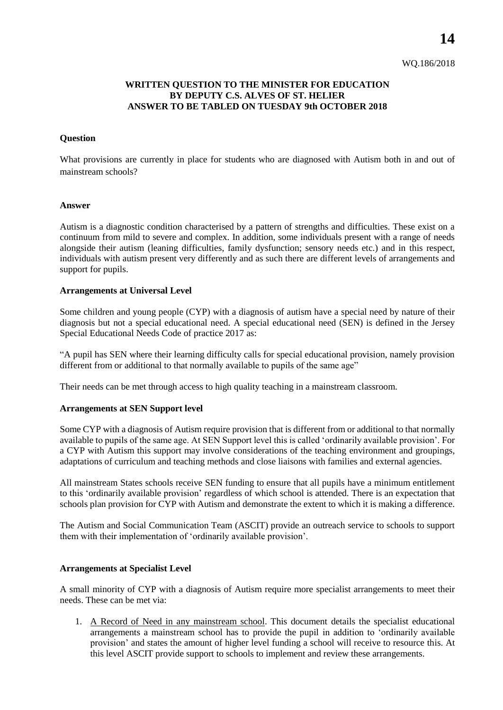**14**

# **WRITTEN QUESTION TO THE MINISTER FOR EDUCATION BY DEPUTY C.S. ALVES OF ST. HELIER ANSWER TO BE TABLED ON TUESDAY 9th OCTOBER 2018**

## **Question**

What provisions are currently in place for students who are diagnosed with Autism both in and out of mainstream schools?

#### **Answer**

Autism is a diagnostic condition characterised by a pattern of strengths and difficulties. These exist on a continuum from mild to severe and complex. In addition, some individuals present with a range of needs alongside their autism (leaning difficulties, family dysfunction; sensory needs etc.) and in this respect, individuals with autism present very differently and as such there are different levels of arrangements and support for pupils.

## **Arrangements at Universal Level**

Some children and young people (CYP) with a diagnosis of autism have a special need by nature of their diagnosis but not a special educational need. A special educational need (SEN) is defined in the Jersey Special Educational Needs Code of practice 2017 as:

"A pupil has SEN where their learning difficulty calls for special educational provision, namely provision different from or additional to that normally available to pupils of the same age"

Their needs can be met through access to high quality teaching in a mainstream classroom.

#### **Arrangements at SEN Support level**

Some CYP with a diagnosis of Autism require provision that is different from or additional to that normally available to pupils of the same age. At SEN Support level this is called 'ordinarily available provision'. For a CYP with Autism this support may involve considerations of the teaching environment and groupings, adaptations of curriculum and teaching methods and close liaisons with families and external agencies.

All mainstream States schools receive SEN funding to ensure that all pupils have a minimum entitlement to this 'ordinarily available provision' regardless of which school is attended. There is an expectation that schools plan provision for CYP with Autism and demonstrate the extent to which it is making a difference.

The Autism and Social Communication Team (ASCIT) provide an outreach service to schools to support them with their implementation of 'ordinarily available provision'.

## **Arrangements at Specialist Level**

A small minority of CYP with a diagnosis of Autism require more specialist arrangements to meet their needs. These can be met via:

1. A Record of Need in any mainstream school. This document details the specialist educational arrangements a mainstream school has to provide the pupil in addition to 'ordinarily available provision' and states the amount of higher level funding a school will receive to resource this. At this level ASCIT provide support to schools to implement and review these arrangements.